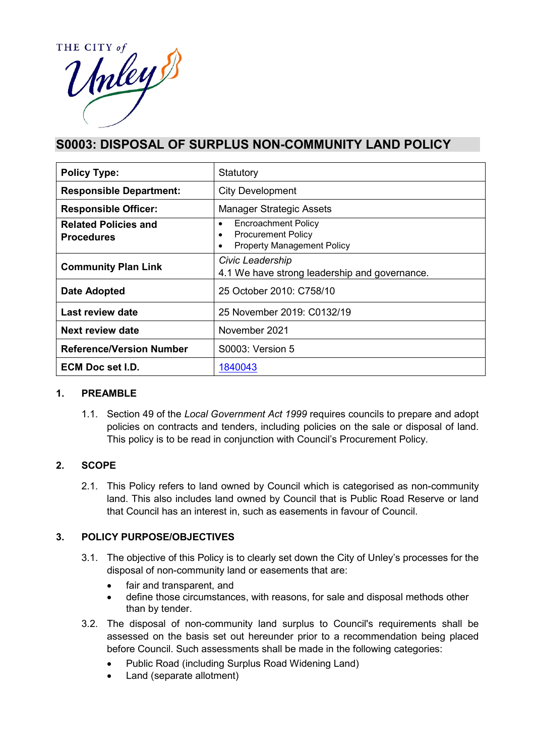

# **S0003: DISPOSAL OF SURPLUS NON-COMMUNITY LAND POLICY**

| <b>Policy Type:</b>                              | Statutory                                                                                                                           |  |
|--------------------------------------------------|-------------------------------------------------------------------------------------------------------------------------------------|--|
| <b>Responsible Department:</b>                   | <b>City Development</b>                                                                                                             |  |
| <b>Responsible Officer:</b>                      | <b>Manager Strategic Assets</b>                                                                                                     |  |
| <b>Related Policies and</b><br><b>Procedures</b> | <b>Encroachment Policy</b><br>$\bullet$<br><b>Procurement Policy</b><br>$\bullet$<br><b>Property Management Policy</b><br>$\bullet$ |  |
| <b>Community Plan Link</b>                       | Civic Leadership<br>4.1 We have strong leadership and governance.                                                                   |  |
| <b>Date Adopted</b>                              | 25 October 2010: C758/10                                                                                                            |  |
| Last review date                                 | 25 November 2019: C0132/19                                                                                                          |  |
| Next review date                                 | November 2021                                                                                                                       |  |
| <b>Reference/Version Number</b>                  | <b>S0003: Version 5</b>                                                                                                             |  |
| ECM Doc set I.D.                                 | 1840043                                                                                                                             |  |

# **1. PREAMBLE**

1.1. Section 49 of the *Local Government Act 1999* requires councils to prepare and adopt policies on contracts and tenders, including policies on the sale or disposal of land. This policy is to be read in conjunction with Council's Procurement Policy.

# **2. SCOPE**

2.1. This Policy refers to land owned by Council which is categorised as non-community land. This also includes land owned by Council that is Public Road Reserve or land that Council has an interest in, such as easements in favour of Council.

# **3. POLICY PURPOSE/OBJECTIVES**

- 3.1. The objective of this Policy is to clearly set down the City of Unley's processes for the disposal of non-community land or easements that are:
	- fair and transparent, and
	- define those circumstances, with reasons, for sale and disposal methods other than by tender.
- 3.2. The disposal of non-community land surplus to Council's requirements shall be assessed on the basis set out hereunder prior to a recommendation being placed before Council. Such assessments shall be made in the following categories:
	- Public Road (including Surplus Road Widening Land)
	- Land (separate allotment)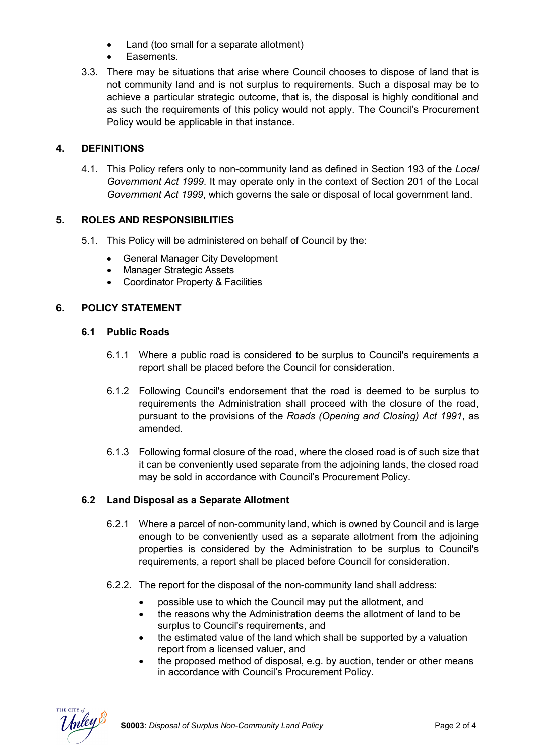- Land (too small for a separate allotment)
- Easements.
- 3.3. There may be situations that arise where Council chooses to dispose of land that is not community land and is not surplus to requirements. Such a disposal may be to achieve a particular strategic outcome, that is, the disposal is highly conditional and as such the requirements of this policy would not apply. The Council's Procurement Policy would be applicable in that instance.

# **4. DEFINITIONS**

4.1. This Policy refers only to non-community land as defined in Section 193 of the *Local Government Act 1999*. It may operate only in the context of Section 201 of the Local *Government Act 1999*, which governs the sale or disposal of local government land.

# **5. ROLES AND RESPONSIBILITIES**

- 5.1. This Policy will be administered on behalf of Council by the:
	- General Manager City Development
	- Manager Strategic Assets
	- Coordinator Property & Facilities

# **6. POLICY STATEMENT**

#### **6.1 Public Roads**

- 6.1.1 Where a public road is considered to be surplus to Council's requirements a report shall be placed before the Council for consideration.
- 6.1.2 Following Council's endorsement that the road is deemed to be surplus to requirements the Administration shall proceed with the closure of the road, pursuant to the provisions of the *Roads (Opening and Closing) Act 1991*, as amended.
- 6.1.3 Following formal closure of the road, where the closed road is of such size that it can be conveniently used separate from the adjoining lands, the closed road may be sold in accordance with Council's Procurement Policy.

# **6.2 Land Disposal as a Separate Allotment**

- 6.2.1 Where a parcel of non-community land, which is owned by Council and is large enough to be conveniently used as a separate allotment from the adjoining properties is considered by the Administration to be surplus to Council's requirements, a report shall be placed before Council for consideration.
- 6.2.2. The report for the disposal of the non-community land shall address:
	- possible use to which the Council may put the allotment, and
	- the reasons why the Administration deems the allotment of land to be surplus to Council's requirements, and
	- the estimated value of the land which shall be supported by a valuation report from a licensed valuer, and
	- the proposed method of disposal, e.g. by auction, tender or other means in accordance with Council's Procurement Policy.

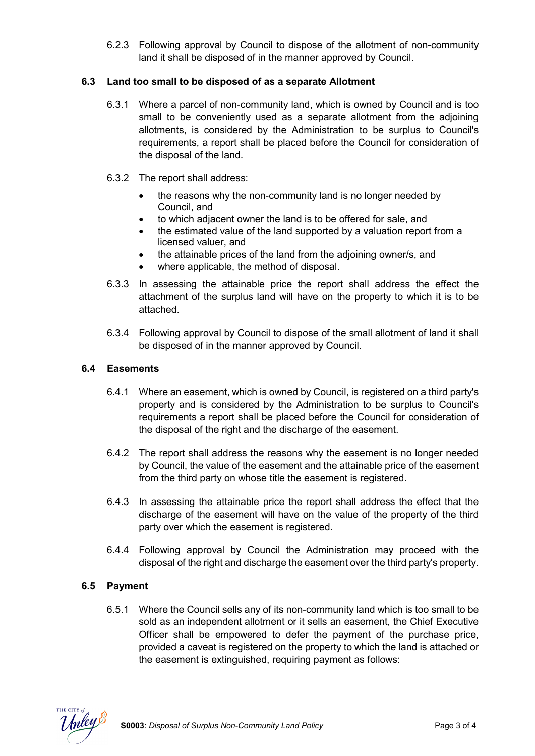6.2.3 Following approval by Council to dispose of the allotment of non-community land it shall be disposed of in the manner approved by Council.

# **6.3 Land too small to be disposed of as a separate Allotment**

- 6.3.1 Where a parcel of non-community land, which is owned by Council and is too small to be conveniently used as a separate allotment from the adjoining allotments, is considered by the Administration to be surplus to Council's requirements, a report shall be placed before the Council for consideration of the disposal of the land.
- 6.3.2 The report shall address:
	- the reasons why the non-community land is no longer needed by Council, and
	- to which adjacent owner the land is to be offered for sale, and
	- the estimated value of the land supported by a valuation report from a licensed valuer, and
	- the attainable prices of the land from the adjoining owner/s, and
	- where applicable, the method of disposal.
- 6.3.3 In assessing the attainable price the report shall address the effect the attachment of the surplus land will have on the property to which it is to be attached.
- 6.3.4 Following approval by Council to dispose of the small allotment of land it shall be disposed of in the manner approved by Council.

#### **6.4 Easements**

- 6.4.1 Where an easement, which is owned by Council, is registered on a third party's property and is considered by the Administration to be surplus to Council's requirements a report shall be placed before the Council for consideration of the disposal of the right and the discharge of the easement.
- 6.4.2 The report shall address the reasons why the easement is no longer needed by Council, the value of the easement and the attainable price of the easement from the third party on whose title the easement is registered.
- 6.4.3 In assessing the attainable price the report shall address the effect that the discharge of the easement will have on the value of the property of the third party over which the easement is registered.
- 6.4.4 Following approval by Council the Administration may proceed with the disposal of the right and discharge the easement over the third party's property.

#### **6.5 Payment**

6.5.1 Where the Council sells any of its non-community land which is too small to be sold as an independent allotment or it sells an easement, the Chief Executive Officer shall be empowered to defer the payment of the purchase price, provided a caveat is registered on the property to which the land is attached or the easement is extinguished, requiring payment as follows: